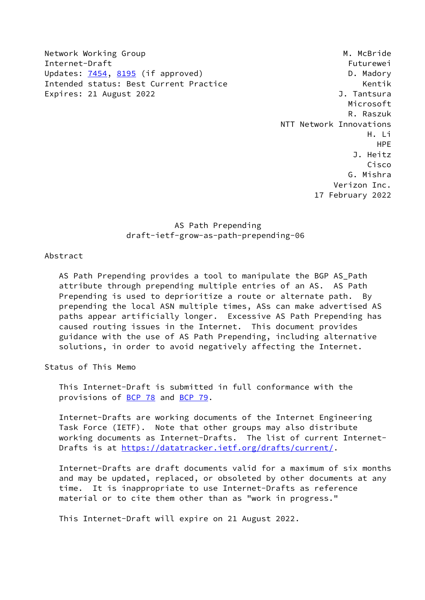Network Working Group Manuscript Communication of the Muslim Muslim Muslim Muslim Muslim Muslim Muslim Muslim M Internet-Draft Futurewei Updates: [7454](https://datatracker.ietf.org/doc/pdf/rfc7454), [8195](https://datatracker.ietf.org/doc/pdf/rfc8195) (if approved) D. Madory Intended status: Best Current Practice The Controller Controller Rentik Expires: 21 August 2022 **J. Tantsura** 

 Microsoft R. Raszuk NTT Network Innovations H. Li HPE J. Heitz Cisco G. Mishra Verizon Inc. 17 February 2022

> AS Path Prepending draft-ietf-grow-as-path-prepending-06

Abstract

AS Path Prepending provides a tool to manipulate the BGP AS Path attribute through prepending multiple entries of an AS. AS Path Prepending is used to deprioritize a route or alternate path. By prepending the local ASN multiple times, ASs can make advertised AS paths appear artificially longer. Excessive AS Path Prepending has caused routing issues in the Internet. This document provides guidance with the use of AS Path Prepending, including alternative solutions, in order to avoid negatively affecting the Internet.

Status of This Memo

 This Internet-Draft is submitted in full conformance with the provisions of [BCP 78](https://datatracker.ietf.org/doc/pdf/bcp78) and [BCP 79](https://datatracker.ietf.org/doc/pdf/bcp79).

 Internet-Drafts are working documents of the Internet Engineering Task Force (IETF). Note that other groups may also distribute working documents as Internet-Drafts. The list of current Internet Drafts is at<https://datatracker.ietf.org/drafts/current/>.

 Internet-Drafts are draft documents valid for a maximum of six months and may be updated, replaced, or obsoleted by other documents at any time. It is inappropriate to use Internet-Drafts as reference material or to cite them other than as "work in progress."

This Internet-Draft will expire on 21 August 2022.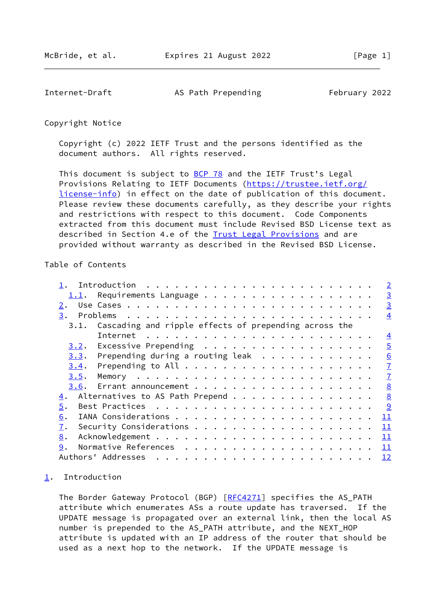<span id="page-1-1"></span>Internet-Draft AS Path Prepending February 2022

Copyright Notice

 Copyright (c) 2022 IETF Trust and the persons identified as the document authors. All rights reserved.

This document is subject to **[BCP 78](https://datatracker.ietf.org/doc/pdf/bcp78)** and the IETF Trust's Legal Provisions Relating to IETF Documents ([https://trustee.ietf.org/](https://trustee.ietf.org/license-info) [license-info](https://trustee.ietf.org/license-info)) in effect on the date of publication of this document. Please review these documents carefully, as they describe your rights and restrictions with respect to this document. Code Components extracted from this document must include Revised BSD License text as described in Section 4.e of the [Trust Legal Provisions](https://trustee.ietf.org/license-info) and are provided without warranty as described in the Revised BSD License.

#### Table of Contents

|      |                                                                    |  |  |  |  |  |  |  |  |  | $\overline{2}$ |
|------|--------------------------------------------------------------------|--|--|--|--|--|--|--|--|--|----------------|
| 1.1. | Requirements Language                                              |  |  |  |  |  |  |  |  |  | $\overline{3}$ |
| 2.   |                                                                    |  |  |  |  |  |  |  |  |  | $\overline{3}$ |
| 3.   |                                                                    |  |  |  |  |  |  |  |  |  | $\overline{4}$ |
| 3.1. | Cascading and ripple effects of prepending across the              |  |  |  |  |  |  |  |  |  |                |
|      | Internet $\ldots \ldots \ldots \ldots \ldots \ldots \ldots \ldots$ |  |  |  |  |  |  |  |  |  | $\overline{4}$ |
| 3.2. | Excessive Prepending                                               |  |  |  |  |  |  |  |  |  | $\overline{5}$ |
|      | $3.3$ . Prepending during a routing leak                           |  |  |  |  |  |  |  |  |  | 6              |
| 3.4. |                                                                    |  |  |  |  |  |  |  |  |  | $\overline{1}$ |
| 3.5. |                                                                    |  |  |  |  |  |  |  |  |  | $\overline{1}$ |
|      |                                                                    |  |  |  |  |  |  |  |  |  | 8              |
| 4.   | Alternatives to AS Path Prepend                                    |  |  |  |  |  |  |  |  |  | 8              |
| 5.   |                                                                    |  |  |  |  |  |  |  |  |  |                |
| 6.   |                                                                    |  |  |  |  |  |  |  |  |  | 11             |
| 7.   |                                                                    |  |  |  |  |  |  |  |  |  | 11             |
| 8.   |                                                                    |  |  |  |  |  |  |  |  |  | 11             |
| 9.   |                                                                    |  |  |  |  |  |  |  |  |  | 11             |
|      | Authors' Addresses                                                 |  |  |  |  |  |  |  |  |  | <u> 12</u>     |
|      |                                                                    |  |  |  |  |  |  |  |  |  |                |

# <span id="page-1-0"></span>[1](#page-1-0). Introduction

The Border Gateway Protocol (BGP) [[RFC4271](https://datatracker.ietf.org/doc/pdf/rfc4271)] specifies the AS\_PATH attribute which enumerates ASs a route update has traversed. If the UPDATE message is propagated over an external link, then the local AS number is prepended to the AS\_PATH attribute, and the NEXT\_HOP attribute is updated with an IP address of the router that should be used as a next hop to the network. If the UPDATE message is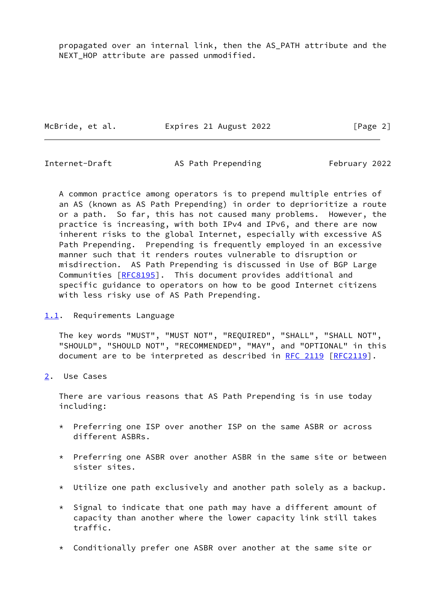propagated over an internal link, then the AS\_PATH attribute and the NEXT\_HOP attribute are passed unmodified.

McBride, et al. **Expires 21 August 2022** [Page 2]

<span id="page-2-1"></span>

Internet-Draft AS Path Prepending February 2022

 A common practice among operators is to prepend multiple entries of an AS (known as AS Path Prepending) in order to deprioritize a route or a path. So far, this has not caused many problems. However, the practice is increasing, with both IPv4 and IPv6, and there are now inherent risks to the global Internet, especially with excessive AS Path Prepending. Prepending is frequently employed in an excessive manner such that it renders routes vulnerable to disruption or misdirection. AS Path Prepending is discussed in Use of BGP Large Communities [\[RFC8195](https://datatracker.ietf.org/doc/pdf/rfc8195)]. This document provides additional and specific guidance to operators on how to be good Internet citizens with less risky use of AS Path Prepending.

<span id="page-2-0"></span>[1.1](#page-2-0). Requirements Language

 The key words "MUST", "MUST NOT", "REQUIRED", "SHALL", "SHALL NOT", "SHOULD", "SHOULD NOT", "RECOMMENDED", "MAY", and "OPTIONAL" in this document are to be interpreted as described in [RFC 2119 \[RFC2119](https://datatracker.ietf.org/doc/pdf/rfc2119)].

<span id="page-2-2"></span>[2](#page-2-2). Use Cases

 There are various reasons that AS Path Prepending is in use today including:

- \* Preferring one ISP over another ISP on the same ASBR or across different ASBRs.
- \* Preferring one ASBR over another ASBR in the same site or between sister sites.
- \* Utilize one path exclusively and another path solely as a backup.
- $*$  Signal to indicate that one path may have a different amount of capacity than another where the lower capacity link still takes traffic.
- \* Conditionally prefer one ASBR over another at the same site or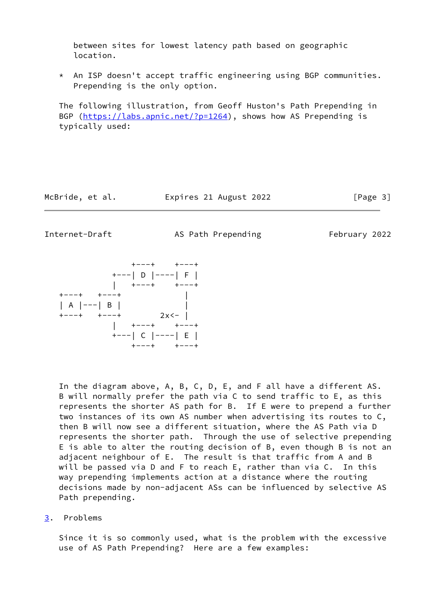between sites for lowest latency path based on geographic location.

 \* An ISP doesn't accept traffic engineering using BGP communities. Prepending is the only option.

 The following illustration, from Geoff Huston's Path Prepending in BGP [\(https://labs.apnic.net/?p=1264](https://labs.apnic.net/?p=1264)), shows how AS Prepending is typically used:

McBride, et al. **Expires 21 August 2022** [Page 3]

<span id="page-3-1"></span>Internet-Draft AS Path Prepending February 2022

 +---+ +---+ +---| D |----| F | | +---+ +---+ +---+ +---+ | | A |---| B | | +---+ +---+ 2x<- | | +---+ +---+ +---| C |----| E | +---+ +---+

 In the diagram above, A, B, C, D, E, and F all have a different AS. B will normally prefer the path via C to send traffic to E, as this represents the shorter AS path for B. If E were to prepend a further two instances of its own AS number when advertising its routes to C, then B will now see a different situation, where the AS Path via D represents the shorter path. Through the use of selective prepending E is able to alter the routing decision of B, even though B is not an adjacent neighbour of E. The result is that traffic from A and B will be passed via D and F to reach E, rather than via C. In this way prepending implements action at a distance where the routing decisions made by non-adjacent ASs can be influenced by selective AS Path prepending.

<span id="page-3-0"></span>[3](#page-3-0). Problems

 Since it is so commonly used, what is the problem with the excessive use of AS Path Prepending? Here are a few examples: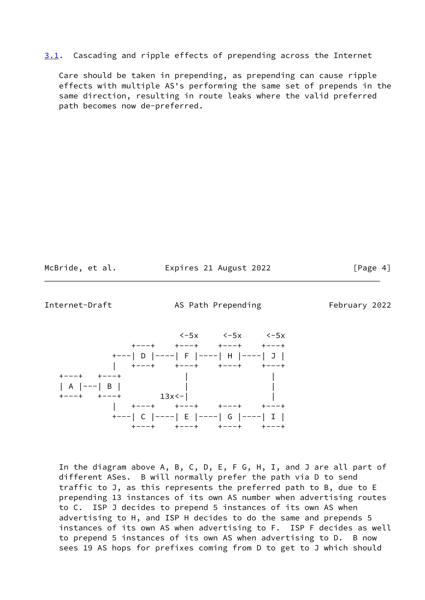<span id="page-4-1"></span>[3.1](#page-4-1). Cascading and ripple effects of prepending across the Internet

 Care should be taken in prepending, as prepending can cause ripple effects with multiple AS's performing the same set of prepends in the same direction, resulting in route leaks where the valid preferred path becomes now de-preferred.

McBride, et al. **Expires 21 August 2022** [Page 4]

<span id="page-4-0"></span>Internet-Draft **AS Path Prepending** February 2022



 In the diagram above A, B, C, D, E, F G, H, I, and J are all part of different ASes. B will normally prefer the path via D to send traffic to J, as this represents the preferred path to B, due to E prepending 13 instances of its own AS number when advertising routes to C. ISP J decides to prepend 5 instances of its own AS when advertising to H, and ISP H decides to do the same and prepends 5 instances of its own AS when advertising to F. ISP F decides as well to prepend 5 instances of its own AS when advertising to D. B now sees 19 AS hops for prefixes coming from D to get to J which should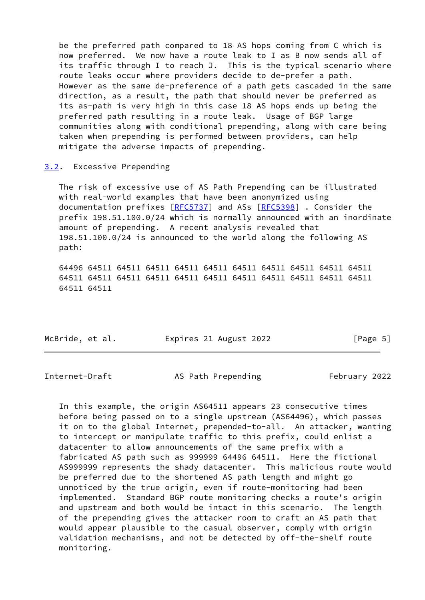be the preferred path compared to 18 AS hops coming from C which is now preferred. We now have a route leak to I as B now sends all of its traffic through I to reach J. This is the typical scenario where route leaks occur where providers decide to de-prefer a path. However as the same de-preference of a path gets cascaded in the same direction, as a result, the path that should never be preferred as its as-path is very high in this case 18 AS hops ends up being the preferred path resulting in a route leak. Usage of BGP large communities along with conditional prepending, along with care being taken when prepending is performed between providers, can help mitigate the adverse impacts of prepending.

<span id="page-5-0"></span>[3.2](#page-5-0). Excessive Prepending

 The risk of excessive use of AS Path Prepending can be illustrated with real-world examples that have been anonymized using documentation prefixes [\[RFC5737](https://datatracker.ietf.org/doc/pdf/rfc5737)] and ASs [\[RFC5398](https://datatracker.ietf.org/doc/pdf/rfc5398)] . Consider the prefix 198.51.100.0/24 which is normally announced with an inordinate amount of prepending. A recent analysis revealed that 198.51.100.0/24 is announced to the world along the following AS path:

 64496 64511 64511 64511 64511 64511 64511 64511 64511 64511 64511 64511 64511 64511 64511 64511 64511 64511 64511 64511 64511 64511 64511 64511

McBride, et al. **Expires 21 August 2022** [Page 5]

<span id="page-5-1"></span>Internet-Draft AS Path Prepending February 2022

 In this example, the origin AS64511 appears 23 consecutive times before being passed on to a single upstream (AS64496), which passes it on to the global Internet, prepended-to-all. An attacker, wanting to intercept or manipulate traffic to this prefix, could enlist a datacenter to allow announcements of the same prefix with a fabricated AS path such as 999999 64496 64511. Here the fictional AS999999 represents the shady datacenter. This malicious route would be preferred due to the shortened AS path length and might go unnoticed by the true origin, even if route-monitoring had been implemented. Standard BGP route monitoring checks a route's origin and upstream and both would be intact in this scenario. The length of the prepending gives the attacker room to craft an AS path that would appear plausible to the casual observer, comply with origin validation mechanisms, and not be detected by off-the-shelf route monitoring.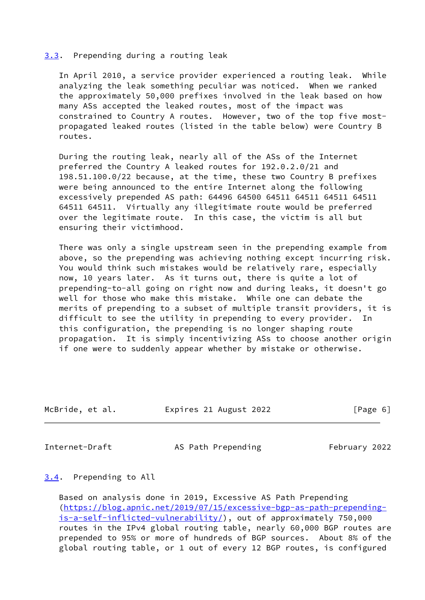### <span id="page-6-0"></span>[3.3](#page-6-0). Prepending during a routing leak

 In April 2010, a service provider experienced a routing leak. While analyzing the leak something peculiar was noticed. When we ranked the approximately 50,000 prefixes involved in the leak based on how many ASs accepted the leaked routes, most of the impact was constrained to Country A routes. However, two of the top five most propagated leaked routes (listed in the table below) were Country B routes.

 During the routing leak, nearly all of the ASs of the Internet preferred the Country A leaked routes for 192.0.2.0/21 and 198.51.100.0/22 because, at the time, these two Country B prefixes were being announced to the entire Internet along the following excessively prepended AS path: 64496 64500 64511 64511 64511 64511 64511 64511. Virtually any illegitimate route would be preferred over the legitimate route. In this case, the victim is all but ensuring their victimhood.

 There was only a single upstream seen in the prepending example from above, so the prepending was achieving nothing except incurring risk. You would think such mistakes would be relatively rare, especially now, 10 years later. As it turns out, there is quite a lot of prepending-to-all going on right now and during leaks, it doesn't go well for those who make this mistake. While one can debate the merits of prepending to a subset of multiple transit providers, it is difficult to see the utility in prepending to every provider. In this configuration, the prepending is no longer shaping route propagation. It is simply incentivizing ASs to choose another origin if one were to suddenly appear whether by mistake or otherwise.

| Expires 21 August 2022<br>McBride, et al. | [Page 6] |
|-------------------------------------------|----------|
|                                           |          |

<span id="page-6-2"></span>Internet-Draft AS Path Prepending February 2022

## <span id="page-6-1"></span>[3.4](#page-6-1). Prepending to All

 Based on analysis done in 2019, Excessive AS Path Prepending [\(https://blog.apnic.net/2019/07/15/excessive-bgp-as-path-prepending](https://blog.apnic.net/2019/07/15/excessive-bgp-as-path-prepending-is-a-self-inflicted-vulnerability/) [is-a-self-inflicted-vulnerability/](https://blog.apnic.net/2019/07/15/excessive-bgp-as-path-prepending-is-a-self-inflicted-vulnerability/)), out of approximately 750,000 routes in the IPv4 global routing table, nearly 60,000 BGP routes are prepended to 95% or more of hundreds of BGP sources. About 8% of the global routing table, or 1 out of every 12 BGP routes, is configured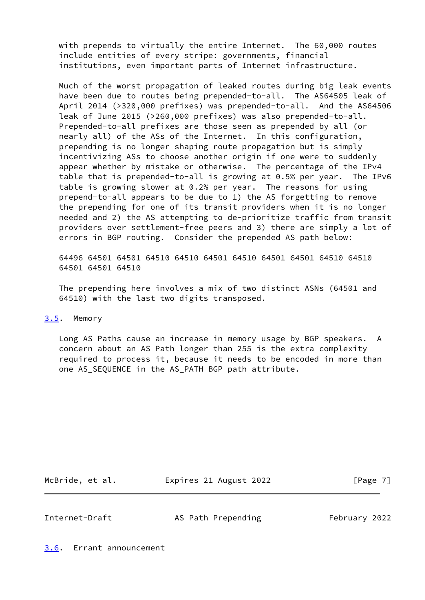with prepends to virtually the entire Internet. The 60,000 routes include entities of every stripe: governments, financial institutions, even important parts of Internet infrastructure.

 Much of the worst propagation of leaked routes during big leak events have been due to routes being prepended-to-all. The AS64505 leak of April 2014 (>320,000 prefixes) was prepended-to-all. And the AS64506 leak of June 2015 (>260,000 prefixes) was also prepended-to-all. Prepended-to-all prefixes are those seen as prepended by all (or nearly all) of the ASs of the Internet. In this configuration, prepending is no longer shaping route propagation but is simply incentivizing ASs to choose another origin if one were to suddenly appear whether by mistake or otherwise. The percentage of the IPv4 table that is prepended-to-all is growing at 0.5% per year. The IPv6 table is growing slower at 0.2% per year. The reasons for using prepend-to-all appears to be due to 1) the AS forgetting to remove the prepending for one of its transit providers when it is no longer needed and 2) the AS attempting to de-prioritize traffic from transit providers over settlement-free peers and 3) there are simply a lot of errors in BGP routing. Consider the prepended AS path below:

 64496 64501 64501 64510 64510 64501 64510 64501 64501 64510 64510 64501 64501 64510

 The prepending here involves a mix of two distinct ASNs (64501 and 64510) with the last two digits transposed.

### <span id="page-7-0"></span>[3.5](#page-7-0). Memory

 Long AS Paths cause an increase in memory usage by BGP speakers. A concern about an AS Path longer than 255 is the extra complexity required to process it, because it needs to be encoded in more than one AS\_SEQUENCE in the AS\_PATH BGP path attribute.

McBride, et al. **Expires 21 August 2022** [Page 7]

<span id="page-7-2"></span>Internet-Draft AS Path Prepending February 2022

<span id="page-7-1"></span>[3.6](#page-7-1). Errant announcement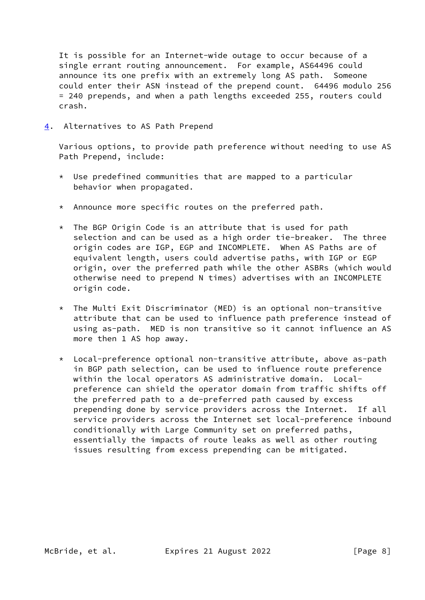It is possible for an Internet-wide outage to occur because of a single errant routing announcement. For example, AS64496 could announce its one prefix with an extremely long AS path. Someone could enter their ASN instead of the prepend count. 64496 modulo 256 = 240 prepends, and when a path lengths exceeded 255, routers could crash.

<span id="page-8-0"></span>[4](#page-8-0). Alternatives to AS Path Prepend

 Various options, to provide path preference without needing to use AS Path Prepend, include:

- \* Use predefined communities that are mapped to a particular behavior when propagated.
- \* Announce more specific routes on the preferred path.
- $*$  The BGP Origin Code is an attribute that is used for path selection and can be used as a high order tie-breaker. The three origin codes are IGP, EGP and INCOMPLETE. When AS Paths are of equivalent length, users could advertise paths, with IGP or EGP origin, over the preferred path while the other ASBRs (which would otherwise need to prepend N times) advertises with an INCOMPLETE origin code.
- \* The Multi Exit Discriminator (MED) is an optional non-transitive attribute that can be used to influence path preference instead of using as-path. MED is non transitive so it cannot influence an AS more then 1 AS hop away.
- \* Local-preference optional non-transitive attribute, above as-path in BGP path selection, can be used to influence route preference within the local operators AS administrative domain. Local preference can shield the operator domain from traffic shifts off the preferred path to a de-preferred path caused by excess prepending done by service providers across the Internet. If all service providers across the Internet set local-preference inbound conditionally with Large Community set on preferred paths, essentially the impacts of route leaks as well as other routing issues resulting from excess prepending can be mitigated.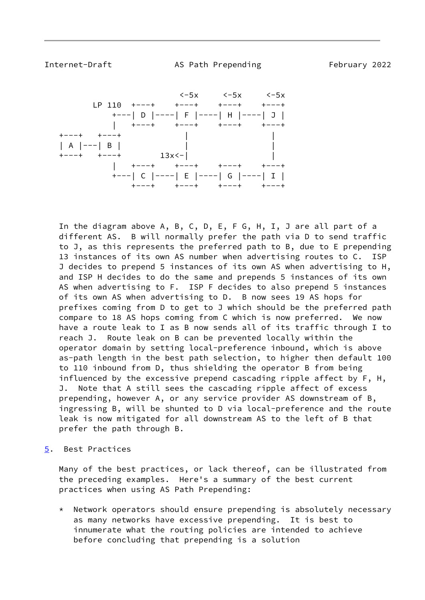<span id="page-9-1"></span>Internet-Draft AS Path Prepending February 2022



 In the diagram above A, B, C, D, E, F G, H, I, J are all part of a different AS. B will normally prefer the path via D to send traffic to J, as this represents the preferred path to B, due to E prepending 13 instances of its own AS number when advertising routes to C. ISP J decides to prepend 5 instances of its own AS when advertising to H, and ISP H decides to do the same and prepends 5 instances of its own AS when advertising to F. ISP F decides to also prepend 5 instances of its own AS when advertising to D. B now sees 19 AS hops for prefixes coming from D to get to J which should be the preferred path compare to 18 AS hops coming from C which is now preferred. We now have a route leak to I as B now sends all of its traffic through I to reach J. Route leak on B can be prevented locally within the operator domain by setting local-preference inbound, which is above as-path length in the best path selection, to higher then default 100 to 110 inbound from D, thus shielding the operator B from being influenced by the excessive prepend cascading ripple affect by F, H, J. Note that A still sees the cascading ripple affect of excess prepending, however A, or any service provider AS downstream of B, ingressing B, will be shunted to D via local-preference and the route leak is now mitigated for all downstream AS to the left of B that prefer the path through B.

<span id="page-9-0"></span>[5](#page-9-0). Best Practices

 Many of the best practices, or lack thereof, can be illustrated from the preceding examples. Here's a summary of the best current practices when using AS Path Prepending:

 \* Network operators should ensure prepending is absolutely necessary as many networks have excessive prepending. It is best to innumerate what the routing policies are intended to achieve before concluding that prepending is a solution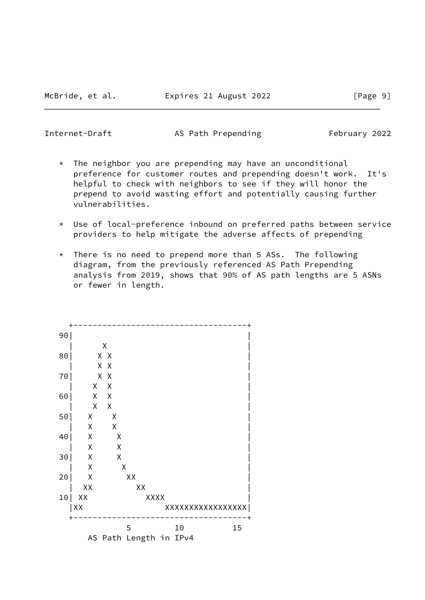Internet-Draft AS Path Prepending February 2022

- $*$  The neighbor you are prepending may have an unconditional preference for customer routes and prepending doesn't work. It's helpful to check with neighbors to see if they will honor the prepend to avoid wasting effort and potentially causing further vulnerabilities.
- \* Use of local-preference inbound on preferred paths between service providers to help mitigate the adverse affects of prepending
- $*$  There is no need to prepend more than 5 ASs. The following diagram, from the previously referenced AS Path Prepending analysis from 2019, shows that 90% of AS path lengths are 5 ASNs or fewer in length.

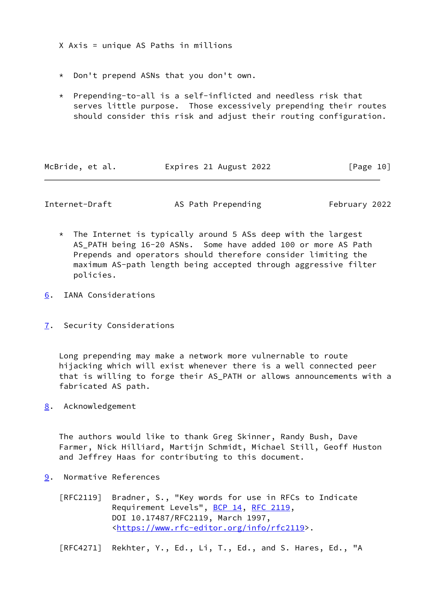X Axis = unique AS Paths in millions

- \* Don't prepend ASNs that you don't own.
- \* Prepending-to-all is a self-inflicted and needless risk that serves little purpose. Those excessively prepending their routes should consider this risk and adjust their routing configuration.

| McBride, et al. | Expires 21 August 2022 | [Page 10] |
|-----------------|------------------------|-----------|
|                 |                        |           |

<span id="page-11-1"></span>Internet-Draft **AS Path Prepending** February 2022

- \* The Internet is typically around 5 ASs deep with the largest AS\_PATH being 16-20 ASNs. Some have added 100 or more AS Path Prepends and operators should therefore consider limiting the maximum AS-path length being accepted through aggressive filter policies.
- <span id="page-11-0"></span>[6](#page-11-0). IANA Considerations
- <span id="page-11-2"></span>[7](#page-11-2). Security Considerations

 Long prepending may make a network more vulnernable to route hijacking which will exist whenever there is a well connected peer that is willing to forge their AS\_PATH or allows announcements with a fabricated AS path.

<span id="page-11-3"></span>[8](#page-11-3). Acknowledgement

 The authors would like to thank Greg Skinner, Randy Bush, Dave Farmer, Nick Hilliard, Martijn Schmidt, Michael Still, Geoff Huston and Jeffrey Haas for contributing to this document.

- <span id="page-11-4"></span>[9](#page-11-4). Normative References
	- [RFC2119] Bradner, S., "Key words for use in RFCs to Indicate Requirement Levels", [BCP 14](https://datatracker.ietf.org/doc/pdf/bcp14), [RFC 2119](https://datatracker.ietf.org/doc/pdf/rfc2119), DOI 10.17487/RFC2119, March 1997, <[https://www.rfc-editor.org/info/rfc2119>](https://www.rfc-editor.org/info/rfc2119).

[RFC4271] Rekhter, Y., Ed., Li, T., Ed., and S. Hares, Ed., "A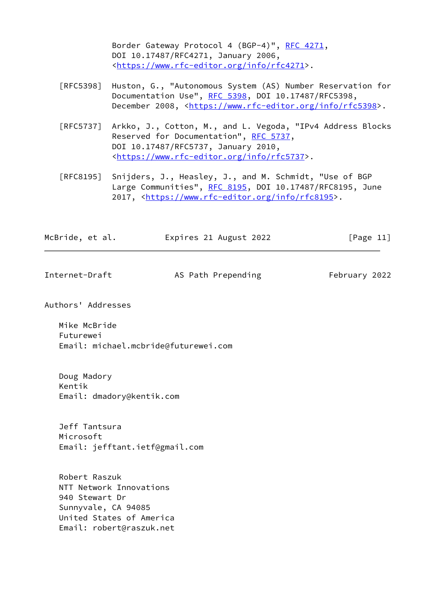Border Gateway Protocol 4 (BGP-4)", [RFC 4271,](https://datatracker.ietf.org/doc/pdf/rfc4271) DOI 10.17487/RFC4271, January 2006, <[https://www.rfc-editor.org/info/rfc4271>](https://www.rfc-editor.org/info/rfc4271).

- [RFC5398] Huston, G., "Autonomous System (AS) Number Reservation for Documentation Use", [RFC 5398,](https://datatracker.ietf.org/doc/pdf/rfc5398) DOI 10.17487/RFC5398, December 2008, <<https://www.rfc-editor.org/info/rfc5398>>.
- [RFC5737] Arkko, J., Cotton, M., and L. Vegoda, "IPv4 Address Blocks Reserved for Documentation", [RFC 5737](https://datatracker.ietf.org/doc/pdf/rfc5737), DOI 10.17487/RFC5737, January 2010, <[https://www.rfc-editor.org/info/rfc5737>](https://www.rfc-editor.org/info/rfc5737).
- [RFC8195] Snijders, J., Heasley, J., and M. Schmidt, "Use of BGP Large Communities", [RFC 8195,](https://datatracker.ietf.org/doc/pdf/rfc8195) DOI 10.17487/RFC8195, June 2017, [<https://www.rfc-editor.org/info/rfc8195](https://www.rfc-editor.org/info/rfc8195)>.

| McBride, et al. | Expires 21 August 2022 | [Page 11] |
|-----------------|------------------------|-----------|
|-----------------|------------------------|-----------|

<span id="page-12-0"></span>

| Internet-Draft | AS Path Prepending | February 2022 |
|----------------|--------------------|---------------|
|                |                    |               |

Authors' Addresses

 Mike McBride Futurewei Email: michael.mcbride@futurewei.com

 Doug Madory Kentik Email: dmadory@kentik.com

 Jeff Tantsura Microsoft Email: jefftant.ietf@gmail.com

 Robert Raszuk NTT Network Innovations 940 Stewart Dr Sunnyvale, CA 94085 United States of America Email: robert@raszuk.net